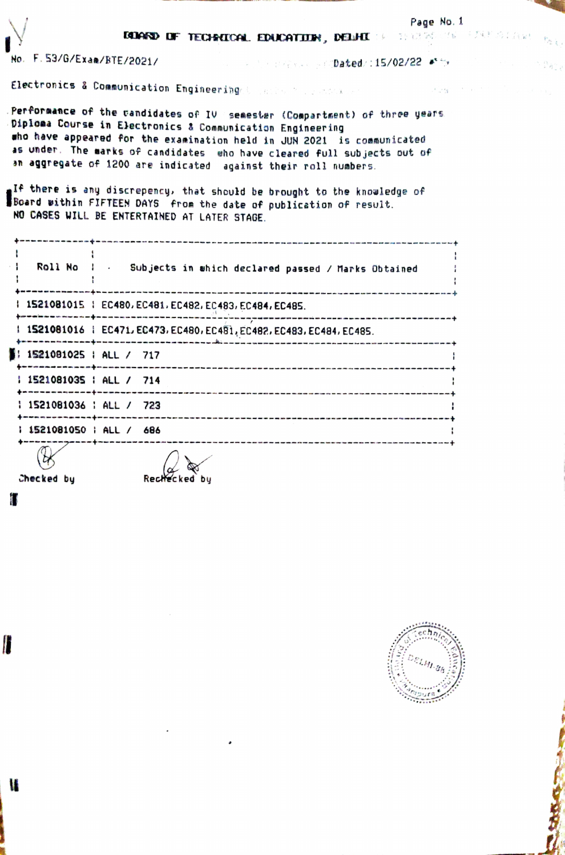| No. F.53/G/Exam/BTE/2021/              | <b>DELAND OF TECHNICAL EDUCATION, DELHI 19 11/2000000 FARESTANE</b><br><b>EXAMPLE AND STORE OF Dated/:15/02/22 At ty</b>                                                                                                                                                                                                                                                                                                                                                                                                                                                   | Page No. 1   |  |
|----------------------------------------|----------------------------------------------------------------------------------------------------------------------------------------------------------------------------------------------------------------------------------------------------------------------------------------------------------------------------------------------------------------------------------------------------------------------------------------------------------------------------------------------------------------------------------------------------------------------------|--------------|--|
|                                        | Electronics & Communication Engineering to make the additional                                                                                                                                                                                                                                                                                                                                                                                                                                                                                                             | in the stage |  |
|                                        | Performance of the candidates of IV semester (Compartment) of three years<br>Diploma Course in Electronics & Communication Engineering<br>who have appeared for the examination held in JUN 2021 is communicated<br>as under. The marks of candidates who have cleared full subjects out of<br>an aggregate of 1200 are indicated against their roll numbers.<br>e <sup>If</sup> there is any discrepency, that should be brought to the knowledge of<br>Board within FIFTEEN DAYS from the date of publication of result.<br>NO CASES WILL BE ENTERTAINED AT LATER STAGE. |              |  |
|                                        | Roll No : Subjects in which declared passed / Marks Obtained                                                                                                                                                                                                                                                                                                                                                                                                                                                                                                               |              |  |
|                                        | 1521081015   EC480, EC481, EC482, EC483, EC484, EC485.                                                                                                                                                                                                                                                                                                                                                                                                                                                                                                                     |              |  |
|                                        | 1 1521081016 1 EC471, EC473, EC480, EC481, EC482, EC483, EC484, EC485.                                                                                                                                                                                                                                                                                                                                                                                                                                                                                                     |              |  |
| $\frac{1}{2}$ i 1521081025 ; ALL / 717 |                                                                                                                                                                                                                                                                                                                                                                                                                                                                                                                                                                            |              |  |
| 1 1521081035   ALL / 714               |                                                                                                                                                                                                                                                                                                                                                                                                                                                                                                                                                                            |              |  |
| 1 1521081036 : ALL / 723               |                                                                                                                                                                                                                                                                                                                                                                                                                                                                                                                                                                            |              |  |
| : 1521081050 : ALL / 686               |                                                                                                                                                                                                                                                                                                                                                                                                                                                                                                                                                                            |              |  |
|                                        | $\alpha$                                                                                                                                                                                                                                                                                                                                                                                                                                                                                                                                                                   |              |  |

Checked by

O

 $\blacksquare$ 

i.

Rechecked by



物理论

 $\frac{\alpha}{2}$ à $\frac{\alpha}{2}$ 

**CONTRACTOR**